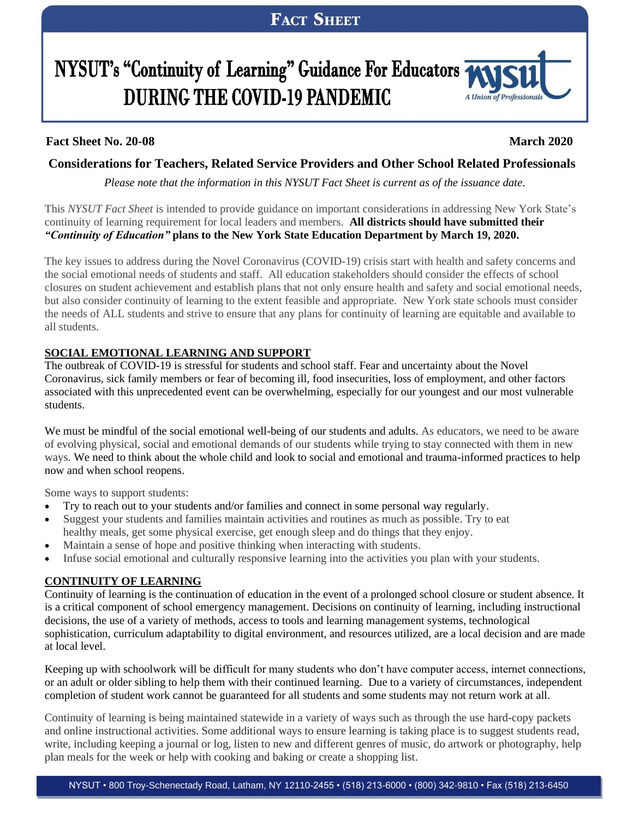# NYSUT's "Continuity of Learning" Guidance For Educators **DURING THE COVID-19 PANDEMIC**



### **Fact Sheet No. 20-08 March 2020**

## **Considerations for Teachers, Related Service Providers and Other School Related Professionals**

*Please note that the information in this NYSUT Fact Sheet is current as of the issuance date.*

This *NYSUT Fact Sheet* is intended to provide guidance on important considerations in addressing New York State's continuity of learning requirement for local leaders and members. **All districts should have submitted their** *"Continuity of Education"* **plans to the New York State Education Department by March 19, 2020.**

The key issues to address during the Novel Coronavirus (COVID-19) crisis start with health and safety concerns and the social emotional needs of students and staff. All education stakeholders should consider the effects of school closures on student achievement and establish plans that not only ensure health and safety and social emotional needs, but also consider continuity of learning to the extent feasible and appropriate. New York state schools must consider the needs of ALL students and strive to ensure that any plans for continuity of learning are equitable and available to all students.

#### **SOCIAL EMOTIONAL LEARNING AND SUPPORT**

The outbreak of COVID-19 is stressful for students and school staff. Fear and uncertainty about the Novel Coronavirus, sick family members or fear of becoming ill, food insecurities, loss of employment, and other factors associated with this unprecedented event can be overwhelming, especially for our youngest and our most vulnerable students.

We must be mindful of the social emotional well-being of our students and adults. As educators, we need to be aware of evolving physical, social and emotional demands of our students while trying to stay connected with them in new ways. We need to think about the whole child and look to social and emotional and trauma-informed practices to help now and when school reopens.

Some ways to support students:

- Try to reach out to your students and/or families and connect in some personal way regularly.
- Suggest your students and families maintain activities and routines as much as possible. Try to eat healthy meals, get some physical exercise, get enough sleep and do things that they enjoy.
- Maintain a sense of hope and positive thinking when interacting with students.
- Infuse social emotional and culturally responsive learning into the activities you plan with your students.

### **CONTINUITY OF LEARNING**

Continuity of learning is the continuation of education in the event of a prolonged school closure or student absence. It is a critical component of school emergency management. Decisions on continuity of learning, including instructional decisions, the use of a variety of methods, access to tools and learning management systems, technological sophistication, curriculum adaptability to digital environment, and resources utilized, are a local decision and are made at local level.

Keeping up with schoolwork will be difficult for many students who don't have computer access, internet connections, or an adult or older sibling to help them with their continued learning. Due to a variety of circumstances, independent completion of student work cannot be guaranteed for all students and some students may not return work at all.

Continuity of learning is being maintained statewide in a variety of ways such as through the use hard-copy packets and online instructional activities. Some additional ways to ensure learning is taking place is to suggest students read, write, including keeping a journal or log, listen to new and different genres of music, do artwork or photography, help plan meals for the week or help with cooking and baking or create a shopping list.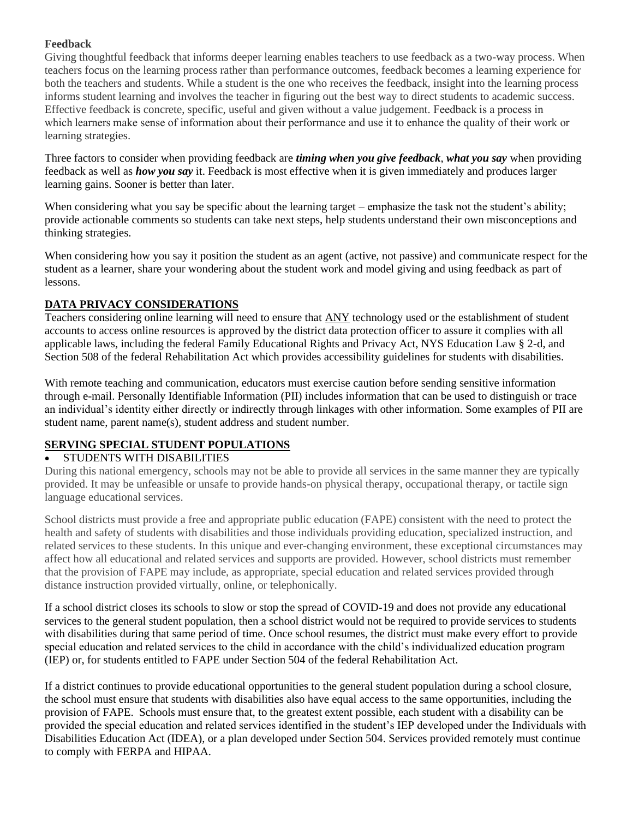#### **Feedback**

Giving thoughtful feedback that informs deeper learning enables teachers to use feedback as a two-way process. When teachers focus on the learning process rather than performance outcomes, feedback becomes a learning experience for both the teachers and students. While a student is the one who receives the feedback, insight into the learning process informs student learning and involves the teacher in figuring out the best way to direct students to academic success. Effective feedback is concrete, specific, useful and given without a value judgement. Feedback is a process in which learners make sense of information about their performance and use it to enhance the quality of their work or learning strategies.

Three factors to consider when providing feedback are *timing when you give feedback*, *what you say* when providing feedback as well as *how you say* it. Feedback is most effective when it is given immediately and produces larger learning gains. Sooner is better than later.

When considering what you say be specific about the learning target – emphasize the task not the student's ability; provide actionable comments so students can take next steps, help students understand their own misconceptions and thinking strategies.

When considering how you say it position the student as an agent (active, not passive) and communicate respect for the student as a learner, share your wondering about the student work and model giving and using feedback as part of lessons.

#### **DATA PRIVACY CONSIDERATIONS**

Teachers considering online learning will need to ensure that ANY technology used or the establishment of student accounts to access online resources is approved by the district data protection officer to assure it complies with all applicable laws, including the federal Family Educational Rights and Privacy Act, NYS Education Law § 2-d, and Section 508 of the federal Rehabilitation Act which provides accessibility guidelines for students with disabilities.

With remote teaching and communication, educators must exercise caution before sending sensitive information through e-mail. Personally Identifiable Information (PII) includes information that can be used to distinguish or trace an individual's identity either directly or indirectly through linkages with other information. Some examples of PII are student name, parent name(s), student address and student number.

#### **SERVING SPECIAL STUDENT POPULATIONS**

#### • STUDENTS WITH DISABILITIES

During this national emergency, schools may not be able to provide all services in the same manner they are typically provided. It may be unfeasible or unsafe to provide hands-on physical therapy, occupational therapy, or tactile sign language educational services.

School districts must provide a free and appropriate public education (FAPE) consistent with the need to protect the health and safety of students with disabilities and those individuals providing education, specialized instruction, and related services to these students. In this unique and ever-changing environment, these exceptional circumstances may affect how all educational and related services and supports are provided. However, school districts must remember that the provision of FAPE may include, as appropriate, special education and related services provided through distance instruction provided virtually, online, or telephonically.

If a school district closes its schools to slow or stop the spread of COVID-19 and does not provide any educational services to the general student population, then a school district would not be required to provide services to students with disabilities during that same period of time. Once school resumes, the district must make every effort to provide special education and related services to the child in accordance with the child's individualized education program (IEP) or, for students entitled to FAPE under Section 504 of the federal Rehabilitation Act.

If a district continues to provide educational opportunities to the general student population during a school closure, the school must ensure that students with disabilities also have equal access to the same opportunities, including the provision of FAPE. Schools must ensure that, to the greatest extent possible, each student with a disability can be provided the special education and related services identified in the student's IEP developed under the Individuals with Disabilities Education Act (IDEA), or a plan developed under Section 504. Services provided remotely must continue to comply with FERPA and HIPAA.